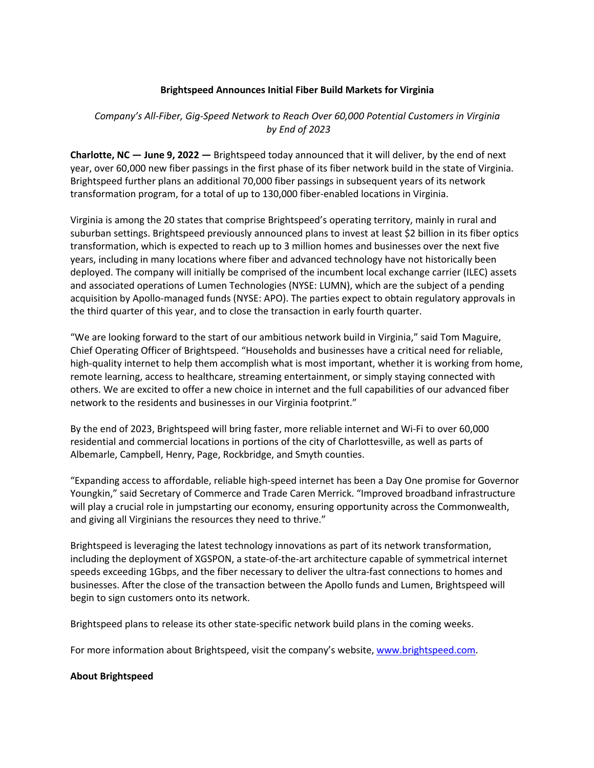## **Brightspeed Announces Initial Fiber Build Markets for Virginia**

## *Company's All-Fiber, Gig-Speed Network to Reach Over 60,000 Potential Customers in Virginia by End of 2023*

**Charlotte, NC — June 9, 2022 —** Brightspeed today announced that it will deliver, by the end of next year, over 60,000 new fiber passings in the first phase of its fiber network build in the state of Virginia. Brightspeed further plans an additional 70,000 fiber passings in subsequent years of its network transformation program, for a total of up to 130,000 fiber-enabled locations in Virginia.

Virginia is among the 20 states that comprise Brightspeed's operating territory, mainly in rural and suburban settings. Brightspeed previously announced plans to invest at least \$2 billion in its fiber optics transformation, which is expected to reach up to 3 million homes and businesses over the next five years, including in many locations where fiber and advanced technology have not historically been deployed. The company will initially be comprised of the incumbent local exchange carrier (ILEC) assets and associated operations of Lumen Technologies (NYSE: LUMN), which are the subject of a pending acquisition by Apollo-managed funds (NYSE: APO). The parties expect to obtain regulatory approvals in the third quarter of this year, and to close the transaction in early fourth quarter.

"We are looking forward to the start of our ambitious network build in Virginia," said Tom Maguire, Chief Operating Officer of Brightspeed. "Households and businesses have a critical need for reliable, high-quality internet to help them accomplish what is most important, whether it is working from home, remote learning, access to healthcare, streaming entertainment, or simply staying connected with others. We are excited to offer a new choice in internet and the full capabilities of our advanced fiber network to the residents and businesses in our Virginia footprint."

By the end of 2023, Brightspeed will bring faster, more reliable internet and Wi-Fi to over 60,000 residential and commercial locations in portions of the city of Charlottesville, as well as parts of Albemarle, Campbell, Henry, Page, Rockbridge, and Smyth counties.

"Expanding access to affordable, reliable high-speed internet has been a Day One promise for Governor Youngkin," said Secretary of Commerce and Trade Caren Merrick. "Improved broadband infrastructure will play a crucial role in jumpstarting our economy, ensuring opportunity across the Commonwealth, and giving all Virginians the resources they need to thrive."

Brightspeed is leveraging the latest technology innovations as part of its network transformation, including the deployment of XGSPON, a state-of-the-art architecture capable of symmetrical internet speeds exceeding 1Gbps, and the fiber necessary to deliver the ultra-fast connections to homes and businesses. After the close of the transaction between the Apollo funds and Lumen, Brightspeed will begin to sign customers onto its network.

Brightspeed plans to release its other state-specific network build plans in the coming weeks.

For more information about Brightspeed, visit the company's website, www.brightspeed.com.

## **About Brightspeed**